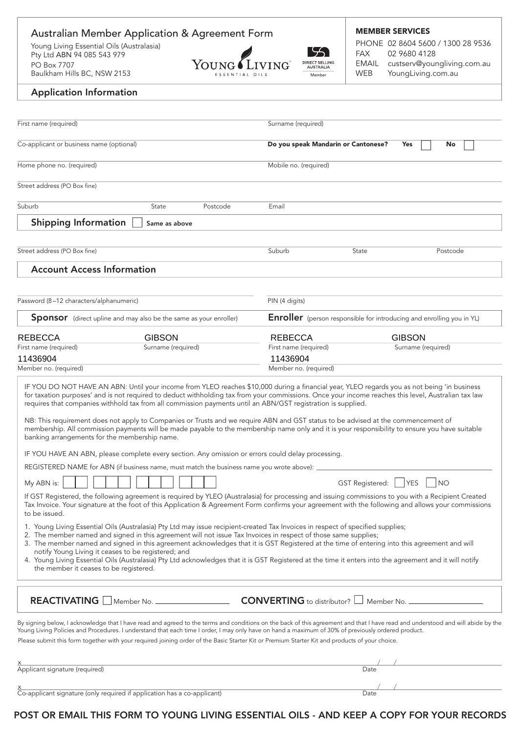## Australian Member Application & Agreement Form MEMBER SERVICES PHONE 02 8604 5600 / 1300 28 9536 Young Living Essential Oils (Australasia) 55 FAX 02 9680 4128 Pty Ltd ABN 94 085 543 979 YOUNG LIVING DIRECT SELLING EMAIL custserv@youngliving.com.au PO Box 7707 Baulkham Hills BC, NSW 2153 WEB YoungLiving.com.au Member ESSENTIAL OILS

## Application Information

| First name (required)                                                        |                                                                                                                                                                                                                                                                                                                                                                                                                                                                                                                                                                                                                                                                                                                                                                                                                                                                                                                                    | Surname (required)                                                                                                  |       |                            |          |
|------------------------------------------------------------------------------|------------------------------------------------------------------------------------------------------------------------------------------------------------------------------------------------------------------------------------------------------------------------------------------------------------------------------------------------------------------------------------------------------------------------------------------------------------------------------------------------------------------------------------------------------------------------------------------------------------------------------------------------------------------------------------------------------------------------------------------------------------------------------------------------------------------------------------------------------------------------------------------------------------------------------------|---------------------------------------------------------------------------------------------------------------------|-------|----------------------------|----------|
| Co-applicant or business name (optional)                                     |                                                                                                                                                                                                                                                                                                                                                                                                                                                                                                                                                                                                                                                                                                                                                                                                                                                                                                                                    | Do you speak Mandarin or Cantonese?                                                                                 |       | Yes                        | No       |
| Home phone no. (required)                                                    |                                                                                                                                                                                                                                                                                                                                                                                                                                                                                                                                                                                                                                                                                                                                                                                                                                                                                                                                    | Mobile no. (required)                                                                                               |       |                            |          |
| Street address (PO Box fine)                                                 |                                                                                                                                                                                                                                                                                                                                                                                                                                                                                                                                                                                                                                                                                                                                                                                                                                                                                                                                    |                                                                                                                     |       |                            |          |
| Suburb                                                                       | Postcode<br>State                                                                                                                                                                                                                                                                                                                                                                                                                                                                                                                                                                                                                                                                                                                                                                                                                                                                                                                  | Email                                                                                                               |       |                            |          |
| <b>Shipping Information</b>                                                  | Same as above                                                                                                                                                                                                                                                                                                                                                                                                                                                                                                                                                                                                                                                                                                                                                                                                                                                                                                                      |                                                                                                                     |       |                            |          |
| Street address (PO Box fine)                                                 |                                                                                                                                                                                                                                                                                                                                                                                                                                                                                                                                                                                                                                                                                                                                                                                                                                                                                                                                    | Suburb                                                                                                              | State |                            | Postcode |
| <b>Account Access Information</b>                                            |                                                                                                                                                                                                                                                                                                                                                                                                                                                                                                                                                                                                                                                                                                                                                                                                                                                                                                                                    |                                                                                                                     |       |                            |          |
| Password (8-12 characters/alphanumeric)                                      |                                                                                                                                                                                                                                                                                                                                                                                                                                                                                                                                                                                                                                                                                                                                                                                                                                                                                                                                    | PIN (4 digits)                                                                                                      |       |                            |          |
| Sponsor (direct upline and may also be the same as your enroller)            | <b>Enroller</b> (person responsible for introducing and enrolling you in YL)                                                                                                                                                                                                                                                                                                                                                                                                                                                                                                                                                                                                                                                                                                                                                                                                                                                       |                                                                                                                     |       |                            |          |
| <b>REBECCA</b><br>First name (required)<br>11436904<br>Member no. (required) | <b>GIBSON</b><br>Surname (required)                                                                                                                                                                                                                                                                                                                                                                                                                                                                                                                                                                                                                                                                                                                                                                                                                                                                                                | <b>REBECCA</b><br><b>GIBSON</b><br>First name (required)<br>Surname (required)<br>11436904<br>Member no. (required) |       |                            |          |
| banking arrangements for the membership name.                                | NB: This requirement does not apply to Companies or Trusts and we require ABN and GST status to be advised at the commencement of<br>membership. All commission payments will be made payable to the membership name only and it is your responsibility to ensure you have suitable<br>IF YOU HAVE AN ABN, please complete every section. Any omission or errors could delay processing.<br>REGISTERED NAME for ABN (if business name, must match the business name you wrote above): _                                                                                                                                                                                                                                                                                                                                                                                                                                            |                                                                                                                     |       |                            |          |
| My ABN is:<br>to be issued.<br>the member it ceases to be registered.        | If GST Registered, the following agreement is required by YLEO (Australasia) for processing and issuing commissions to you with a Recipient Created<br>Tax Invoice. Your signature at the foot of this Application & Agreement Form confirms your agreement with the following and allows your commissions<br>1. Young Living Essential Oils (Australasia) Pty Ltd may issue recipient-created Tax Invoices in respect of specified supplies;<br>2. The member named and signed in this agreement will not issue Tax Invoices in respect of those same supplies;<br>3. The member named and signed in this agreement acknowledges that it is GST Registered at the time of entering into this agreement and will<br>notify Young Living it ceases to be registered; and<br>4. Young Living Essential Oils (Australasia) Pty Ltd acknowledges that it is GST Registered at the time it enters into the agreement and it will notify |                                                                                                                     |       | GST Registered:   YES   NO |          |
|                                                                              | REACTIVATING Member No.<br>By signing below, I acknowledge that I have read and agreed to the terms and conditions on the back of this agreement and that I have read and understood and will abide by the<br>Young Living Policies and Procedures. I understand that each time I order, I may only have on hand a maximum of 30% of previously ordered product.<br>Please submit this form together with your required joining order of the Basic Starter Kit or Premium Starter Kit and products of your choice.                                                                                                                                                                                                                                                                                                                                                                                                                 | <b>CONVERTING</b> to distributor? Member No.                                                                        |       |                            |          |
| Applicant signature (required)                                               |                                                                                                                                                                                                                                                                                                                                                                                                                                                                                                                                                                                                                                                                                                                                                                                                                                                                                                                                    |                                                                                                                     | Date  |                            |          |
|                                                                              | Co-applicant signature (only required if application has a co-applicant)                                                                                                                                                                                                                                                                                                                                                                                                                                                                                                                                                                                                                                                                                                                                                                                                                                                           |                                                                                                                     | Date  |                            |          |

## POST OR EMAIL THIS FORM TO YOUNG LIVING ESSENTIAL OILS - AND KEEP A COPY FOR YOUR RECORDS